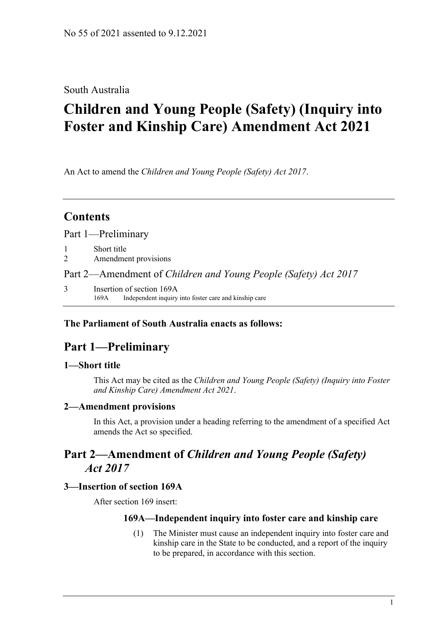### South Australia

# **Children and Young People (Safety) (Inquiry into Foster and Kinship Care) Amendment Act 2021**

An Act to amend the *[Children and Young People \(Safety\) Act](http://www.legislation.sa.gov.au/index.aspx?action=legref&type=act&legtitle=Children%20and%20Young%20People%20(Safety)%20Act%202017) 2017*.

## **Contents**

Part [1—Preliminary](#page-0-0)

- 1 [Short title](#page-0-1)
- 2 [Amendment provisions](#page-0-2)

#### Part 2—Amendment of *[Children and Young](#page-0-3) People (Safety) Act 2017*

3 [Insertion of section 169A](#page-0-4) 169A Independent inquiry into foster care and kinship care

#### <span id="page-0-0"></span>**The Parliament of South Australia enacts as follows:**

## **Part 1—Preliminary**

#### <span id="page-0-1"></span>**1—Short title**

This Act may be cited as the *Children and Young People (Safety) (Inquiry into Foster and Kinship Care) Amendment Act 2021*.

#### <span id="page-0-2"></span>**2—Amendment provisions**

In this Act, a provision under a heading referring to the amendment of a specified Act amends the Act so specified.

## <span id="page-0-3"></span>**Part 2—Amendment of** *Children and Young People (Safety) Act 2017*

#### <span id="page-0-4"></span>**3—Insertion of section 169A**

After section 169 insert:

#### **169A—Independent inquiry into foster care and kinship care**

(1) The Minister must cause an independent inquiry into foster care and kinship care in the State to be conducted, and a report of the inquiry to be prepared, in accordance with this section.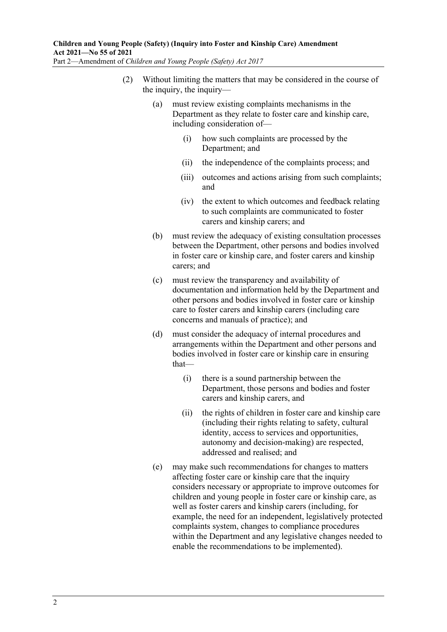- (2) Without limiting the matters that may be considered in the course of the inquiry, the inquiry—
	- (a) must review existing complaints mechanisms in the Department as they relate to foster care and kinship care, including consideration of—
		- (i) how such complaints are processed by the Department; and
		- (ii) the independence of the complaints process; and
		- (iii) outcomes and actions arising from such complaints; and
		- (iv) the extent to which outcomes and feedback relating to such complaints are communicated to foster carers and kinship carers; and
	- (b) must review the adequacy of existing consultation processes between the Department, other persons and bodies involved in foster care or kinship care, and foster carers and kinship carers; and
	- (c) must review the transparency and availability of documentation and information held by the Department and other persons and bodies involved in foster care or kinship care to foster carers and kinship carers (including care concerns and manuals of practice); and
	- (d) must consider the adequacy of internal procedures and arrangements within the Department and other persons and bodies involved in foster care or kinship care in ensuring that—
		- (i) there is a sound partnership between the Department, those persons and bodies and foster carers and kinship carers, and
		- (ii) the rights of children in foster care and kinship care (including their rights relating to safety, cultural identity, access to services and opportunities, autonomy and decision-making) are respected, addressed and realised; and
	- (e) may make such recommendations for changes to matters affecting foster care or kinship care that the inquiry considers necessary or appropriate to improve outcomes for children and young people in foster care or kinship care, as well as foster carers and kinship carers (including, for example, the need for an independent, legislatively protected complaints system, changes to compliance procedures within the Department and any legislative changes needed to enable the recommendations to be implemented).